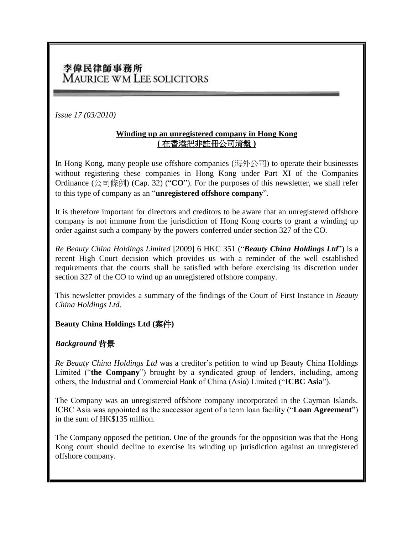# 李偉民律師事務所 MAURICE WM LEE SOLICITORS

*Issue 17 (03/2010)*

#### **Winding up an unregistered company in Hong Kong (** 在香港把非註冊公司清盤 **)**

In Hong Kong, many people use offshore companies ( $\mathbb{R}/\mathbb{R}$ ) to operate their businesses without registering these companies in Hong Kong under Part XI of the Companies Ordinance (公司條例) (Cap. 32) ("**CO**"). For the purposes of this newsletter, we shall refer to this type of company as an "**unregistered offshore company**".

It is therefore important for directors and creditors to be aware that an unregistered offshore company is not immune from the jurisdiction of Hong Kong courts to grant a winding up order against such a company by the powers conferred under section 327 of the CO.

*Re Beauty China Holdings Limited* [2009] 6 HKC 351 ("*Beauty China Holdings Ltd*") is a recent High Court decision which provides us with a reminder of the well established requirements that the courts shall be satisfied with before exercising its discretion under section 327 of the CO to wind up an unregistered offshore company.

This newsletter provides a summary of the findings of the Court of First Instance in *Beauty China Holdings Ltd*.

#### **Beauty China Holdings Ltd (**案件**)**

#### *Background* 背景

*Re Beauty China Holdings Ltd* was a creditor's petition to wind up Beauty China Holdings Limited ("**the Company**") brought by a syndicated group of lenders, including, among others, the Industrial and Commercial Bank of China (Asia) Limited ("**ICBC Asia**").

The Company was an unregistered offshore company incorporated in the Cayman Islands. ICBC Asia was appointed as the successor agent of a term loan facility ("**Loan Agreement**") in the sum of HK\$135 million.

The Company opposed the petition. One of the grounds for the opposition was that the Hong Kong court should decline to exercise its winding up jurisdiction against an unregistered offshore company.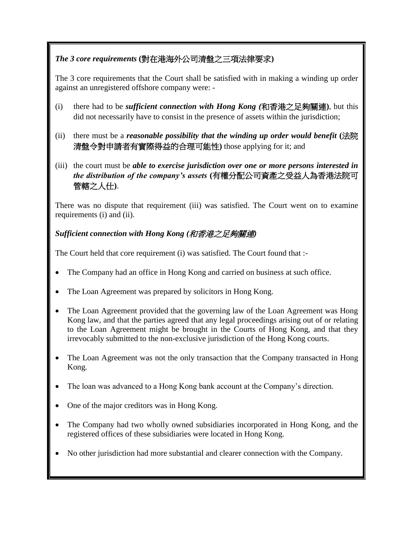## *The 3 core requirements* **(**對在港海外公司清盤之三項法律要求**)**

The 3 core requirements that the Court shall be satisfied with in making a winding up order against an unregistered offshore company were: -

- (i) there had to be *sufficient connection with Hong Kong (*和香港之足夠關連**)**, but this did not necessarily have to consist in the presence of assets within the jurisdiction;
- (ii) there must be a *reasonable possibility that the winding up order would benefit* **(**法院 清盤令對申請者有實際得益的合理可能性**)** those applying for it; and
- (iii) the court must be *able to exercise jurisdiction over one or more persons interested in the distribution of the company's assets* **(**有權分配公司資產之受益人為香港法院可 管轄之人仕**)**.

There was no dispute that requirement (iii) was satisfied. The Court went on to examine requirements (i) and (ii).

## *Sufficient connection with Hong Kong (*和香港之足夠關連*)*

The Court held that core requirement (i) was satisfied. The Court found that :-

- The Company had an office in Hong Kong and carried on business at such office.
- The Loan Agreement was prepared by solicitors in Hong Kong.
- The Loan Agreement provided that the governing law of the Loan Agreement was Hong Kong law, and that the parties agreed that any legal proceedings arising out of or relating to the Loan Agreement might be brought in the Courts of Hong Kong, and that they irrevocably submitted to the non-exclusive jurisdiction of the Hong Kong courts.
- The Loan Agreement was not the only transaction that the Company transacted in Hong Kong.
- The loan was advanced to a Hong Kong bank account at the Company's direction.
- One of the major creditors was in Hong Kong.
- The Company had two wholly owned subsidiaries incorporated in Hong Kong, and the registered offices of these subsidiaries were located in Hong Kong.
- No other jurisdiction had more substantial and clearer connection with the Company.